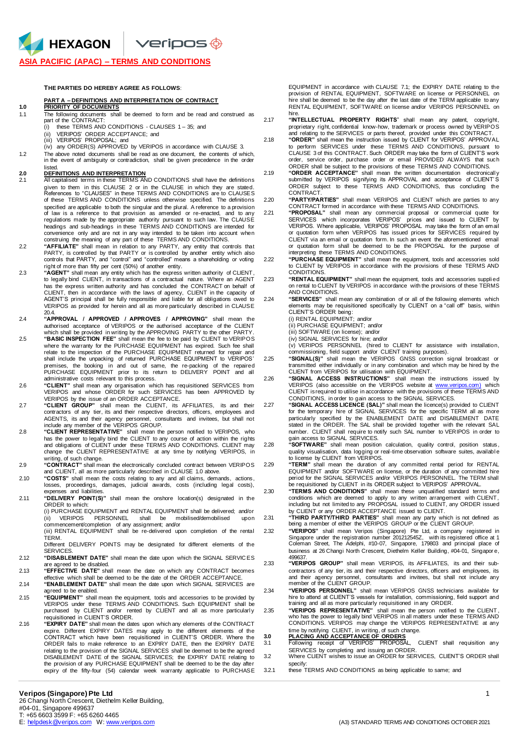**ASIA PACIFIC (APAC) – TERMS AND CONDITIONS**

### **THE PARTIES DO HEREBY AGREE AS FOLLOWS**:

### **PART A – DEFINITIONS AND INTERPRETATION OF CONTRACT**

## **1.0 PRIORITY OF DOCUMENTS**

**A** HEXAGON

- The following documents shall be deemed to form and be read and construed as part of the CONTRACT:<br>(i) these TERMS AND
	- Fig. 1 is seen the inc. ONDITIONS CLAUSES  $1 35$ ; and  $(ii)$  VERIPOS' ORDER ACCEPTANCE: and
	- (ii) VERIPOS' ORDER ACCEPTANCE; and<br>(iii) VERIPOS' PROPOSAL: and
	- (iii) VERIPOS' PROPOSAL; and<br>(iv) any ORDER(S) APPROVED (iv) any ORDER(S) APPROVED by VERIPOS in accordance with CLAUSE 3.
- 1.2 The above noted documents shall be read as one document, the contents of which, in the event of ambiguity or contradiction, shall be given precedence in the order listed.

## **2.0 DEFINITIONS AND INTERPRETATION**

- 2.1 All capitalised terms in these TERMS AND CONDITIONS shall have the definitions given to them in this CLAUSE 2 or in the CLAUSE in which they are stated. References to "CLAUSES" in these TERMS AND CONDITIONS are to CLAUSES of these TERMS AND CONDITIONS unless otherwise specified. The definitions specified are applicable to both the singular and the plural. A reference to a provision of law is a reference to that provision as amended or re-enacted, and to any regulations made by the appropriate authority pursuant to such law. The CLAUSE headings and sub-headings in these TERMS AND CONDITIONS are intended for convenience only and are not in any way intended to be taken into account when construing the meaning of any part of these TERMS AND CONDITIONS.
- 2.2 **"AFFILIATE"** shall mean in relation to any PARTY, any entity that controls that PARTY, is controlled by that PARTY or is controlled by another entity which also controls that PARTY, and "control" and "controlled" means a shareholding or voting right of more than fifty per cent (50%) of another entity.
- 2.3 **"AGENT"** shall mean any entity which has the express written authority of CLIENT, to legally bind CLIENT, in transactions of a contractual nature. Where an AGENT has the express written authority and has concluded the CONTRACT on behalf of CLIENT, then in accordance with the laws of agency, CLIENT in the capacity of AGENT'S principal shall be fully responsible and liable for all obligations owed to VERIPOS as provided for herein and all as more particularly described in CLAUSE
- 20.4. 2.4 **"APPROVAL / APPROVED / APPROVES / APPROVING"** shall mean the authorised acceptance of VERIPOS or the authorised acceptance of the CLIENT which shall be provided in writing by the APPROVING PARTY to the other PARTY.
- 2.5 **"BASIC INSPECTION FEE"** shall mean the fee to be paid by CLIENT to VERIPOS where the warranty for the PURCHASE EQUIPMENT has expired. Such fee shall<br>relate to the inspection of the PURCHASE EQUIPMENT returned for repair and<br>shall include the unpacking of returned PURCHASE EQUIPMENT to VERIPOS' premises, the booking in and out of same, the re-packing of the repaired PURCHASE EQUIPMENT prior to its return to DELIVERY POINT and all administrative costs relevant to this process.
- <sup>c</sup> **"CLIENT**" shall mean any organisation which has requisitioned SERVICES from VERIPOS and whose ORDER for such SERVICES has been APPROVED by
- VERIPOS by the issue of an ORDER ACCEPTANCE. 2.7 **"CLIENT GROUP"** shall mean the CLIENT, its AFFILIATES, its and their contractors of any tier, its and their respective directors, officers, employees and AGENTS, its and their agency personnel, consultants and invitees, but shall not include any member of the VERIPOS GROUP.
- 2.8 **"CLIENT REPRESENTATIVE"** shall mean the person notified to VERIPOS, who has the power to legally bind the CLIENT to any course of action within the rights and obligations of CLIENT under these TERMS AND CONDITIONS. CLIENT may change the CLIENT REPRESENTATIVE at any time by notifying VERIPOS, in
- writing, of such change. 2.9 **"CONTRACT"** shall mean the electronically concluded contract between VERIPOS and CLIENT, all as more particularly described in CLAUSE 1.0 above.
- 2.10 **"COSTS"** shall mean the costs relating to any and all claims, demands, actions, losses, proceedings, damages, judicial awards, costs (including legal costs), expenses and liabilities
- 2.11 **"DELIVERY POINT(S)"** shall mean the onshore location(s) designated in the ORDER to which:

(i) PURCHASE EQUIPMENT and RENTAL EQUIPMENT shall be delivered; and/or (ii) VERIPOS PERSONNEL shall be mobilised/demobilised upon commencement/completion of any assignment; and/or

(iii) RENTAL EQUIPMENT shall be re-delivered upon completion of the rental TERM.

Different DELIVERY POINTS may be designated for different elements of the **SERVICES** 

- 2.12 **"DISABLEMENT DATE"** shall mean the date upon which the SIGNAL SERVIC ES are agreed to be disabled.
- 2.13 **"EFFECTIVE DATE"** shall mean the date on which any CONTRACT becomes effective which shall be deemed to be the date of the ORDER ACCEPTANCE.
- 2.14 **"ENABLEMENT DATE"** shall mean the date upon which SIGNAL SERVICES are agreed to be enabled.
- "EQUIPMENT" shall mean the equipment, tools and accessories to be provided by<br>VERIPOS under these TERMS AND CONDITIONS. Such EQUIPMENT shall be<br>purchased by CLIENT and/or rented by CLIENT and all as more particularly requisitioned in CLIENT'S ORDER.
- 2.16 **"EXPIRY DATE"** shall mean the dates upon which any elements of the CONTRACT expire. Different EXPIRY DATES may apply to the different elements of the<br>CONTRACT which have been requisitioned in CLIENT'S ORDER. Where the<br>ORDER fails to make reference to an EXPIRY DATE, then the EXPIRY DATE relating to the provision of the SIGNAL SERVICES shall be deemed to be the agreed DISABLEMENT DATE of the SIGNAL SERVICES; the EXPIRY DATE relating to the provision of any PURCHASE EQUIPMENT shall be deemed to be the day after expiry of the fifty-four (54) calendar week warranty applicable to PURCHASE

EQUIPMENT in accordance with CLAUSE 7.1; the EXPIRY DATE relating to the<br>provision of RENTAL EQUIPMENT, SOFTWARE on license or PERSONNEL on<br>hire shall be deemed to be the day after the last date of the TERM applicable to a RENTAL EQUIPMENT, SOFTWARE on license and/or VERIPOS PERSONNEL on hire.

- 2.17 **"INTELLECTUAL PROPERTY RIGHTS**" shall mean any patent, copyright, proprietary right, confidential know-how, trademark or process owned by VERIPOS and relating to the SERVICES or parts thereof, provided under this CONTRACT. 2.18 **"ORDER"** shall mean the instruction issued by CLIENT for VERIPOS' APPROVAL
	- to perform SERVICES under these TERMS AND CONDITIONS, pursuant to CLAUSE 3 of this CONTRACT. Such ORDER may take the form of CLIENT'S work order, service order, purchase order or email PROVIDED ALWAYS that such ORDER shall be subject to the provisions of these TERMS AND CONDITIONS.
- 2.19 **"ORDER ACCEPTANCE"** shall mean the written documentation electronicall y submitted by VERIPOS signifying its APPROVAL and acceptance of CLIENT' S ORDER subject to these TERMS AND CONDITIONS, thus concluding the **CONTRACT**
- 2.20 **"PARTY/PARTIES"** shall mean VERIPOS and CLIENT which are parties to any CONTRACT formed in accordance with these TERMS AND CONDITIONS.
- 2.21 **"PROPOSAL"** shall mean any commercial proposal or commercial quote for SERVICES which incorporates VERIPOS' prices and issued to CLIENT by VERIPOS. Where applicable, VERIPOS' PROPOSAL may take the form of an email or quotation form when VERIPOS has issued prices for SERVICES required by CLIENT via an email or quotation form. In such an event the aforementioned email or quotation form shall be deemed to be the PROPOSAL for the purpose of interpreting these TERMS AND CONDITIONS.

2.22 **"PURCHASE EQUIPMENT"** shall mean the equipment, tools and accessories sold to CLIENT by VERIPOS in accordance with the provisions of these TERMS AND **CONDITIONS** 

2.23 **"RENTAL EQUIPMENT"** shall mean the equipment, tools and accessories suppli ed on rental to CLIENT by VERIPOS in accordance with the provisions of these TERMS AND CONDITIONS.

2.24 **"SERVICES"** shall mean any combination of or all of the following elements which elements may be requisitioned specifically by CLIENT on a "call off" basis, within CLIENT'S ORDER being:

(i) RENTAL EQUIPMENT; and/or

(ii) PURCHASE EQUIPMENT; and/or

(iii) SOFTWARE (on license); and/or (iv) SIGNAL SERVICES for hire; and/or

(v) VERIPOS PERSONNEL (hired to CLIENT for assistance with installation, commissioning, field support and/or CLIENT training purposes).

2.25 **"SIGNAL(S)"** shall mean the VERIPOS GNSS correction signal broadcast or transmitted either individually or in any combination and which may be hired by the CLIENT from VERIPOS for utilisation with EQUIPMENT.

2.26 **"SIGNAL ACCESS INSTRUCTIONS"** shall mean the instructions issued by VERIPOS (also accessible on the VERIPOS website at [www.veripos.com\)](http://www.veripos.com/) which CLIENT is required to utilise in accordance with the provisions of these TERMS AND

CONDITIONS, in order to gain access to the SIGNAL SERVICES. 2.27 **"SIGNAL ACCESS LICENCE (SAL)"** shall mean the licence(s) provided to CLIENT for the temporary hire of SIGNAL SERVICES for the specific TERM all as more particularly specified by the ENABLEMENT DATE and DISABLEMENT DATE stated in the ORDER. The SAL shall be provided together with the relevant SAL number. CLIENT shall require to notify such SAL number to VERIPOS in order to

gain access to SIGNAL SERVICES.<br>2.28 **"SOFTWARE"** shall mean position calculation, quality control, position status, quality visualisation, data logging or real-time observation software suites, availabl e to license by CLIENT from VERIPOS. 2.29 **"TERM"** shall mean the duration of any committed rental period for RENTAL

EQUIPMENT and/or SOFTWARE on license, or the duration of any committed hire period for the SIGNAL SERVICES and/or VERIPOS PERSONNEL. The TERM shall be requisitioned by CLIENT in its ORDER subject to VERIPOS' APPROVAL.

2.30 **"TERMS AND CONDITIONS"** shall mean these unqualified standard terms and conditions which are deemed to apply to any written arrangement with CLIENT, including but not limited to any PROPOSAL issued to CLIENT, any ORDER issued

by CLIENT or any ORDER ACCEPTANCE issued to CLIENT.<br>"THIRD PARTY/THIRD PARTIES" shall mean any party which is not defined as<br>being a member of either the VERIPOS GROUP or the CLIENT GROUP.

"**VERIPOS**" shall mean Veripos (Singapore) Pte Ltd, a company registered in<br>Singapore under the registration number 201212545Z, with its registered office at 1<br>Coleman Street, The Adelphi, #10-07, Singapore, 179803 and pri business at 26 Changi North Crescent, Diethelm Keller Building, #04-01, Singapor e, 499637.

2.33 **"VERIPOS GROUP"** shall mean VERIPOS, its AFFILIATES, its and their subcontractors of any tier, its and their respective directors, officers and employees, its and their agency personnel, consultants and invitees, but shall not include any member of the CLIENT GROUP.

2.34 "VERIPOS PERSONNEL" shall mean VERIPOS GNSS technicians available for<br>hire to attend at CLIENT'S vessels for installation, commissioning, field support and<br>training and all as more particularly requisitioned in any OR

2.35 **"VERIPOS REPRESENTATIVE**" shall mean the person notified to the CLIENT,<br>who has the power to legally bind VERIPOS in all matters under these TERMS AND<br>CONDITIONS. VERIPOS may change the VERIPOS REPRESENTATIVE at any time by notifying CLIENT, in writing, of such change.

**3.0 PLACING AND ACCEPTANCE OF ORDERS** 3.1 Following receipt of VERIPOS' PROPOSAL, CLIENT shall requisition any

SERVICES by completing and issuing an ORDER. 3.2 Where CLIENT wishes to issue an ORDER for SERVICES, CLIENT'S ORDER shall

specify:

3.2.1 these TERMS AND CONDITIONS as being applicable to same; and

### **Veripos (Singapore) Pte Ltd** 1

26 Changi North Crescent, Diethelm Keller Building, #04-01, Singapore 499637 T: +65 6603 3599 F: +65 6260 4465<br>E: helpdesk@veripos.com W: www.veripos.com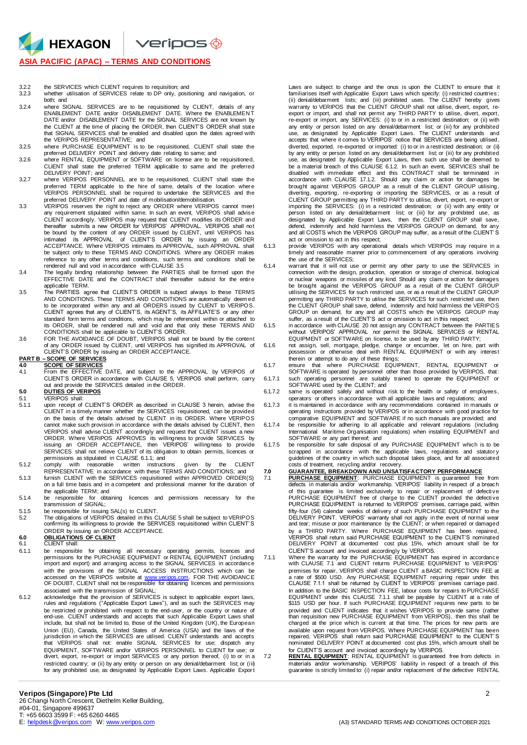$V$ eripos $\bigcirc$ 

### **ASIA PACIFIC (APAC) – TERMS AND CONDITIONS**

HEXAGON

- 3.2.2 the SERVICES which CLIENT requires to requisition; and 3.2.3 whether utilisation of SERVICES relate to DP only, positioning and navigation, or both; and
- 3.2.4 where SIGNAL SERVICES are to be requisitioned by CLIENT, details of any ENABLEMENT DATE and/or DISABLEMENT DATE. Where the ENABLEMEN T DATE and/or DISABLEMENT DATE for the SIGNAL SERVICES are not known by the CLIENT at the time of placing the ORDER, then CLIENT'S ORDER shall state that SIGNAL SERVICES shall be enabled and disabled upon the dates agreed with the VERIPOS REPRESENTATIVE; and
- 3.2.5 where PURCHASE EQUIPMENT is to be requisitioned, CLIENT shall state the preferred DELIVERY POINT and delivery date relating to same; and 3.2.6 where RENTAL EQUIPMENT or SOFTWARE on license are to be requisitioned,
- CLIENT shall state the preferred TERM applicable to same and the preferred
- DELIVERY POINT; and 3.2.7 where VERIPOS PERSONNEL are to be requisitioned, CLIENT shall state the preferred TERM applicable to the hire of same, details of the location wher e VERIPOS PERSONNEL shall be required to undertake the SERVICES and the
- preferred DELIVERY POINT and date of mobilisation/demobilisation. 3.3 VERIPOS reserves the right to reject any ORDER where VERIPOS cannot meet any requirement stipulated within same. In such an event, VERIPOS shall advise CLIENT accordingly. VERIPOS may request that CLIENT modifies its ORDER and thereafter submits a new ORDER for VERIPOS' APPROVAL. VERIPOS shall not be bound by the content of any ORDER issued by CLIENT, until VERIPOS has intimated its APPROVAL of CLIENT'S ORDER by issuing an ORDER ACCEPTANCE. Where VERIPOS intimates its APPROVAL, such APPROVAL shall be subject only to these TERMS AND CONDITIONS. Where any ORDER makes reference to any other terms and conditions, such terms and conditions shall be rendered null and void in accordance with CLAUSE 3.5
- 3.4 The legally binding relationship between the PARTIES shall be formed upon the EFFECTIVE DATE and the CONTRACT shall thereafter subsist for the entir e applicable TERM.
- 3.5 The PARTIES agree that CLIENT'S ORDER is subject always to these TERMS AND CONDITIONS. These TERMS AND CONDITIONS are automatically deem ed to be incorporated within any and all ORDERS issued by CLIENT to VERIPOS. CLIENT agrees that any of CLIENT'S, its AGENT'S, its AFFILIATE'S or any other standard form terms and conditions, which may be referenced within or attached to its ORDER, shall be rendered null and void and that only these TERMS AND CONDITIONS shall be applicable to CLIENT'S ORDER.
- 3.6 FOR THE AVOIDANCE OF DOUBT, VERIPOS shall not be bound by the content of any ORDER issued by CLIENT, until VERIPOS has signified its APPROVAL of CLIENT'S ORDER by issuing an ORDER ACCEPTANCE.

**PART B – SCOPE OF SERVICES 4.0 SCOPE OF SERVICES** 4.1 From the EFFECTIVE DATE, and subject to the APPROVAL by VERIPOS of CLIENT'S ORDER in accordance with CLAUSE 5, VERIPOS shall perform, carry out and provide the SERVICES detailed in the ORDER. **5.0 DUTIES OF VERIPOS**

- 5.1 VERIPOS shall:<br>5.1.1 upon receipt of 5.1.1 upon receipt of CLIENT'S ORDER as described in CLAUSE 3 herein, advise the CLIENT in a timely manner whether the SERVICES requisitioned, can be provided on the basis of the details advised by CLIENT in its ORDER. Where VERIPOS cannot make such provision in accordance with the details advised by CLIENT, then VERIPOS shall advise CLIENT accordingly and request that CLIENT issues a new ORDER. Where VERIPOS APPROVES its willingness to provide SERVICES by issuing an ORDER ACCEPTANCE, then VERIPOS' willingness to provide SERVICES shall not relieve CLIENT of its obligation to obtain permits, licences or permissions as stipulated in CLAUSE 6.1.1; and
- 5.1.2 comply with reasonable written instructions given by the CLIENT
- REPRESENTATIVE in accordance with these TERMS AND CONDITIONS; and 5.1.3 furnish CLIENT with the SERVICES requisitioned within APPROVED ORDER(S) on a full time basis and in a competent and professional manner for the duration of
- the applicable TERM; and 5.1.4 be responsible for obtaining licences and permissions necessary for the transmission of SIGNAL;
- 5.1.5 be responsible for issuing SAL(s) to CLIENT. 5.2 The obligations of VERIPOS detailed in this CLAUSE 5 shall be subject to VERIPOS
- confirming its willingness to provide the SERVICES requisitioned within CLIENT' S ORDER by issuing an ORDER ACCEPTANCE. **6.0 OBLIGATIONS OF CLIENT**

- 6.1 CLIENT shall:<br>6.1.1 be responsible 6.1.1 be responsible for obtaining all necessary operating permits, licences and permissions for the PURCHASE EQUIPMENT or RENTAL EQUIPMENT (including import and export) and arranging access to the SIGNAL SERVICES in accordance with the provisions of the SIGNAL ACCESS INSTRUCTIONS which can be<br>accessed on the VERIPOS website at <u>www.veripos.com</u>. FOR THE AVOIDANCE<br>OF DOUBT, CLIENT shall not be responsible for obtaining licences and permissions
- associated with the transmission of SIGNAL;<br>6.1.2 acknowledge that the provision of SERVICES is subject to applicable export laws,<br>rules and regulations ("Applicable Export Laws"), and as such the SERVICES may be restricted or prohibited with respect to the end-user, or the country or nature of end-use. CLIENT understands and accepts that such Applicable Export Laws shall include, but shall not be limited to, those of the United Kingdom (UK), the European Union (EU), Canada, the United States of America (USA) and the laws of the jurisdiction in which the SERVICES are utilised. CLIENT understands and accepts that VERIPOS shall not: enable SIGNAL SERVICES for use; dispatch any EQUIPMENT, SOFTWARE and/or VERIPOS PERSONNEL to CLIENT for use; or divert, export, re-export or import SERVICES or any portion thereof, (i) to or in a restricted country; or (ii) by any entity or person on any denial/debarment list; or (iii) for any prohibited use, as designated by Applicable Export Laws. Applicable Expor t

Laws are subject to change and the onus is upon the CLIENT to ensure that it familiarises itself with Applicable Export Laws which specify: (i) restricted countries; (ii) denial/debarment lists; and (iii) prohibited uses. The CLIENT hereby gives warranty to VERIPOS that the CLIENT GROUP shall not utilise, divert, export, re-<br>export or import, and shall not permit any THIRD PARTY to utilise, divert, export,<br>re-export or import, any SERVICES: (i) to or in a restrict any entity or person listed on any denial/debarment list; or (iii) for any prohibited<br>use, as designated by Applicable Export Laws. The CLIENT understands and<br>accepts that where itcomes to VERIPOS' notice that SERVICES are diverted, exported, re-exported or imported: (i) to or in a restricted destination; or (ii) by any entity or person listed on any denial/debarment list; or (iii) for any prohibited use, as designated by Applicable Export Laws, then such use shall be deemed to be a material breach of this CLAUSE 6.1.2. In such an event, SERVICES shall be<br>disabled with immediate effect and this CONTRACT shall be terminated in<br>accordance with CLAUSE 17.1.2. Should any claim or action for damages b brought against VERIPOS GROUP as a result of the CLIENT GROUP utilising , diverting, exporting, re-exporting or importing the SERVICES, or as a result of CLIENT GROUP permitting any THIRD PARTY to utilise, divert, export, re-export or importing the SERVICES: (i) in a restricted destination; or (ii) with any entity or person listed on any denial/debarment list; or (iii) for any prohibited use, as designated by Applicable Export Laws, then the CLIENT GROUP shall save, defend, indemnify and hold harmless the VERIPOS GROUP on demand, for any and all COSTS which the VERIPOS GROUP may suffer, as a result of the CLIENT' S act or omission to act in this respect;

- 6.1.3 provide VERIPOS with any operational details which VERIPOS may require in a timely and reasonable manner prior to commencement of any operations involving the use of the SERVICES;
- 6.1.4 warrant that it will not use or permit any other party to use the SERVICES in connection with the design, production, operation or storage of chemical, biological or nuclear weapons or missiles of any kind. Should any claim or action for damages be brought against the VERIPOS GROUP as a result of the CLIENT GROUP utilising the SERVICES for such restricted use, or as a result of the CLIENT GROUP permitting any THIRD PARTY to utilise the SERVICES for such restricted use, then the CLIENT GROUP shall save, defend, indemnify and hold harmless the VERIPOS GROUP on demand, for any and all COSTS which the VERIPOS GROUP may suffer, as a result of the CLIENT'S act or omission to act in this respect;
- 6.1.5 in accordance with CLAUSE 20 not assign any CONTRACT between the PARTIES without VERIPOS' APPROVAL nor permit the SIGNAL SERVICES or RENTAL
- EQUIPMENT or SOFTWARE on license, to be used by any THIRD PARTY;<br>6.1.6 not assign, sell, mortgage, pledge, change or encumber, let on hire, part with<br>possession or otherwise deal with RENTAL EQUIPMENT or with any interest
- therein or attempt to do any of these things; 6.1.7 ensure that where PURCHASE EQUIPMENT, RENTAL EQUIPMENT or SOFTWARE is operated by personnel other than those provided by VERIPOS, that:
- 6.1.7.1 such operating personnel are suitably trained to operate the EQUIPMENT or SOFTWARE used by the CLIENT; and
- 6.1.7.2 same is operated safely and without risk to the health or safety of employees, operators or others in accordance with all applicable laws and regulations; and 6.1.7.3 it is maintained in accordance with any recommendations contained in manuals or
- operating instructions provided by VERIPOS or in accordance with good practice for
- comparative EQUIPMENT and SOFTWARE if no such manuals are provided; and 6.1.7.4 be responsible for adhering to all applicable and relevant regulations (including International Maritime Organisation regulations) when installing EQUIPMENT and SOFTWARE or any part thereof; and 6.1.7.5 be responsible for safe disposal of any PURCHASE EQUIPMENT which is to be
- scrapped in accordance with the applicable laws, regulations and statutory<br>guidelines of the country in which such disposal takes place, and for all associated costs of treatment, recycling and/or recovery.

7.0 GUARANTEE, BREAKDOWN AND UNSATISFACTORY PERFORMANCE<br>7.1 PURCHASE EQUIPMENT: PURCHASE EQUIPMENT is guaranteed free from<br>defects in materials and/or workmanship. VERIPOS' liability in respect of a breach of this guarantee is limited exclusively to repair or replacement of defective<br>PURCHASE EQUIPMENT free of charge to the CLIENT provided the defective<br>PURCHASE EQUIPMENT is returned to VERIPOS' premises, carriage paid, with fifty-four (54) calendar weeks of delivery of such PURCHASE EQUIPMENT to the<br>DELIVERY POINT. VERIPOS' warranty shall not apply in the event of normal wear<br>and tear; misuse or poor maintenance by the CLIENT; or when repaire by a THIRD PARTY. Where PURCHASE EQUIPMENT has been repaired, VERIPOS shall return said PURCHASE EQUIPMENT to the CLIENT'S nominated DELIVERY POINT at documented cost plus 15%, which amount shall be for

- CLIENT'S account and invoiced accordingly by VERIPOS. 7.1.1 Where the warranty for the PURCHASE EQUIPMENT has expired in accordance with CLAUSE 7.1 and CLIENT returns PURCHASE EQUIPMENT to VERIPOS' premises for repair, VERIPOS shall charge CLIENT a BASIC INSPECTION FEE at<br>a rate of \$500 USD. Any PURCHASE EQUIPMENT requiring repair under this<br>CLAUSE 7.1.1 shall be returned by CLIENT to VERIPOS' premises carriage paid. In addition to the BASIC INSPECTION FEE, labour costs for repairs to PURCHASE<br>EQUIPMENT under this CLAUSE 7.1.1. shall be payable by CLIENT at a rate of<br>\$115 USD per hour. If such PURCHASE EQUIPMENT requires new parts to b provided and CLIENT indicates that it wishes VERIPOS to provide same (rather<br>than requisition new PURCHASE EQUIPMENT from VERIPOS), then this shall be<br>charged at the price which is current at that time. The prices for new available upon request from VERIPOS. Where PURCHASE EQUIPMENT has been repaired, VERIPOS shall return said PURCHASE EQUIPMENT to the CLIENT' S nominated DELIVERY POINT at documented cost plus 15%, which amount shall be
- for CLIENT'S account and invoiced accordingly by VERIPOS. 7.2 **RENTAL EQUIPMENT**: RENTAL EQUIPMENT is guaranteed free from defects in materials and/or workmanship. VERIPOS' liability in respect of a breach of this guarantee is strictly limited to: (i) repair and/or replacement of the defective RENTAL

26 Changi North Crescent, Diethelm Keller Building, #04-01, Singapore 499637 T: +65 6603 3599 F: +65 6260 4465<br>E: helpdesk@veripos.com W: www.veripos.com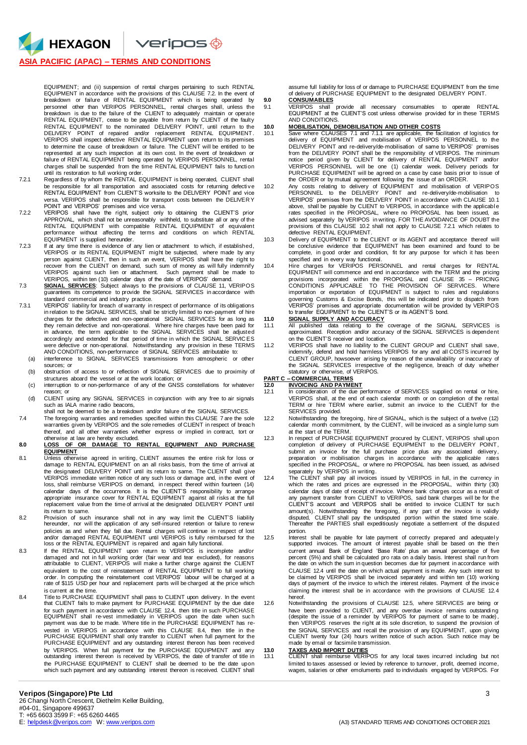### **ASIA PACIFIC (APAC) – TERMS AND CONDITIONS**

HEXAGON

EQUIPMENT; and (ii) suspension of rental charges pertaining to such RENTAL<br>EQUIPMENT in accordance with the provisions of this CLAUSE 7.2. In the event of<br>breakdown or failure of RENTAL EQUIPMENT which is being operated personnel other than VERIPOS PERSONNEL, rental charges shall, unless the<br>breakdown is due to the failure of the CLIENT to adequately maintain or operate<br>RENTAL EQUIPMENT, cease to be payable from return by CLIENT of the fa RENTAL EQUIPMENT to the nominated DELIVERY POINT, until return to the<br>DELIVERY POINT of repaired and/or replacement RENTAL EQUIPMENT.<br>VERIPOS shall inspect defective RENTAL EQUIPMENT upon return to its premises to determine the cause of breakdown or failure. The CLIENT will be entitled to be represented at any such inspection at its own cost. In the event of breakdown or failure of RENTAL EQUIPMENT being operated by VERIPOS PERSONNEL, rental charges shall be suspended from the time RENTAL EQUIPMENT fails to functi on until its restoration to full working order.

- 7.2.1 Regardless of by whom the RENTAL EQUIPMENT is being operated, CLIENT shall be responsible for all transportation and associated costs for returning defecti ve RENTAL EQUIPMENT from CLIENT'S worksite to the DELIVERY POINT and vice versa. VERIPOS shall be responsible for transport costs between the DELIVER Y POINT and VERIPOS' premises and vice versa.
- 7.2.2 VERIPOS shall have the right, subject only to obtaining the CLIENT'S prior APPROVAL, which shall not be unreasonably withheld, to substitute all or any of the RENTAL EQUIPMENT with compatible RENTAL EQUIPMENT of equivalent performance without affecting the terms and conditions on which RENTAL EQUIPMENT is supplied hereunder.
- 7.2.3 If at any time there is evidence of any lien or attachment to which, if established, VERIPOS or its RENTAL EQUIPMENT might be subjected, where made by any person against CLIENT, then in such an event, VERIPOS shall have the right to<br>recover from the CLIENT on demand, such sum of money as will fully indemnify<br>VERIPOS against such lien or attachment. Such payment shall be ma
- VERIPOS, within ten (10) calendar days of the date of VERIPOS' demand.<br>T.3 SIGNAL SERVICES: Subject always to the provisions of CLAUSE 11, VERIPOS<br>guarantees its competence to provide the SIGNAL SERVICES in accordance with
- standard commercial and industry practice. 7.3.1 VERIPOS' liability for breach of warranty in respect of performance of its obligations in relation to the SIGNAL SERVICES, shall be strictly limited to non-payment of hire charges for the defective and non-operational SIGNAL SERVICES for as long as they remain defective and non-operational. Where hire charges have been paid for in advance, the term applicable to the SIGNAL SERVICES shall be adjusted accordingly and extended for that period of time in which the SIGNAL SERVICES<br>were defective or non-operational. Notwithstanding any provision in these TERMS<br>AND CONDITIONS, non-performance of SIGNAL SERVICES attributable
	- (a) interference to SIGNAL SERVICES transmissions from atmospheric or other sources; or
	- (b) obstruction of access to or reflection of SIGNAL SERVICES due to proximity of structures aboard the vessel or at the work location; or (c) interruption to or non-performance of any of the GNSS constellations for whatever
	- reason; or
- (d) CLIENT using any SIGNAL SERVICES in conjunction with any free to air signals such as IALA marine radio beacons, shall not be deemed to be a breakdown and/or failure of the SIGNAL SERVICES.
- 7.4 The foregoing warranties and remedies specified within this CLAUSE 7 are the sole warranties given by VERIPOS and the sole remedies of CLIENT in respect of breach thereof, and all other warranties whether express or implied in contract, tort or
- otherwise at law are hereby excluded. **8.0 LOSS OF OR DAMAGE TO RENTAL EQUIPMENT AND PURCHASE EQUIPMENT**
- 8.1 Unless otherwise agreed in writing, CLIENT assumes the entire risk for loss or damage to RENTAL EQUIPMENT on an all risks basis, from the time of arrival at the designated DELIVERY POINT until its return to same. The CLIENT shall give<br>VERIPOS immediate written notice of any such loss or damage and, in the event of<br>Ioss, shall reimburse VERIPOS on demand, in respect thereof wit calendar days of the occurrence. It is the CLIENT'S responsibility to arrange appropriate insurance cover for RENTAL EQUIPMENT against all risks at the full replacement value from the time of arrival at the designated DELIVERY POINT until its return to same.
- 8.2 Provision of such insurance shall not in any way limit the CLIENT'S liability hereunder, nor will the application of any self-insured retention or failure to renew policies as and when they fall due. Rental charges will continue in respect of lost and/or damaged RENTAL EQUIPMENT until VERIPOS is fully reimbursed for the loss or the RENTAL EQUIPMENT is repaired and again fully functional.
- 8.3 If the RENTAL EQUIPMENT upon return to VERIPOS is incomplete and/or<br>damaged and not in full working order (fair wear and tear excluded), for reasons<br>attributable to CLIENT, VERIPOS will make a further charge against th equivalent to the cost of reinstatement of RENTAL EQUIPMENT to full working order. In computing the reinstatement cost VERIPOS' labour will be charged at a rate of \$115 USD per hour and replacement parts will be charged at the price which is current at the time.
- 8.4 Title to PURCHASE EQUIPMENT shall pass to CLIENT upon delivery. In the event that CLIENT fails to make payment for PURCHASE EQUIPMENT by the due date for such payment in accordance with CLAUSE 12.4, then title in such PURCHASE EQUIPMENT shall re-vest immediately in VERIPOS upon the date when such payment was due to be made. Where title in the PURCHASE EQUIPMENT has revested in VERIPOS in accordance with this CLAUSE 8.4, then title in the<br>PURCHASE EQUIPMENT shall only transfer to CLIENT when full payment for the<br>PURCHASE EQUIPMENT and any outstanding interest thereon has been received by VERIPOS. When full payment for the PURCHASE EQUIPMENT and any outstanding interest thereon is received by VERIPOS, the date of transfer of title in the PURCHASE EQUIPMENT to CLIENT shall be deemed to be the date upon which such payment and any outstanding interest thereon is received. CLIENT shall

assume full liability for loss of or damage to PURCHASE EQUIPMENT from the time of delivery of PURCHASE EQUIPMENT to the designated DELIVERY POINT.

## **9.0 CONSUMABLES**

9.1 VERIPOS shall provide all necessary consumables to operate RENTAL EQUIPMENT at the CLIENT'S cost unless otherwise provided for in these TERMS AND CONDITIONS.

# **10.0 MOBILISATION, DEMOBILISATION AND OTHER COSTS**<br>10.1 Save where CLAUSES 7.1 and 7.1.1 are applicable, the fa

- 10.1 Save where CLAUSES 7.1 and 7.1.1 are applicable, the facilitation of logistics for delivery of EQUIPMENT and mobilisation of VERIPOS PERSONNEL to the DELIVERY POINT and re-delivery/de-mobilisation of same to VERIPOS' premises from the DELIVERY POINT shall be the responsibility of VERIPOS. The minimum notice period given by CLIENT for delivery of RENTAL EQUIPMENT and/or VERIPOS PERSONNEL will be one (1) calendar week. Delivery periods for PURCHASE EQUIPMENT will be agreed on a case by case basis prior to issue of the ORDER or by mutual agreement following the issue of an ORDER.
- 10.2 Any costs relating to delivery of EQUIPMENT and mobilisation of VERIPOS PERSONNEL to the DELIVERY POINT and re-delivery/de-mobilisation to VERIPOS' premises from the DELIVERY POINT in accordance with CLAUSE 10.1 above, shall be payable by CLIENT to VERIPOS, in accordance with the applicabl e rates specified in the PROPOSAL, where no PROPOSAL has been issued, as advised separately by VERIPOS in writing. FOR THE AVOIDANCE OF DOUBT the provisions of this CLAUSE 10.2 shall not apply to CLAUSE 7.2.1 which relates to defective RENTAL EQUIPMENT.
- 10.3 Delivery of EQUIPMENT to the CLIENT or its AGENT and acceptance thereof will be conclusive evidence that EQUIPMENT has been examined and found to be complete, in good order and condition, fit for any purpose for which it has been specified and in every way functional.
- 10.4 Hire charges for VERIPOS PERSONNEL and rental charges for RENTAL EQUIPMENT will commence and end in accordance with the TERM and the pricing provisions incorporated within the PROPOSAL and CLAUSE 35 – PRICING<br>CONDITIONS APPLICABLE TO THE PROVISION OF SERVICES. Where<br>importation or exportation of EQUIPMENT is subject to rules and regulations governing Customs & Excise Bonds, this will be indicated prior to dispatch from VERIPOS' premises and appropriate documentation will be provided by VERIPOS to transfer EQUIPMENT to the CLIENT'S or its AGENT'S bond.

- **11.0 SIGNAL SUPPLY AND ACCURACY** 11.1 All published data relating to the coverage of the SIGNAL SERVICES is approximated. Reception and/or accuracy of the SIGNAL SERVICES is dependent on the CLIENT'S receiver and location.
- 11.2 VERIPOS shall have no liability to the CLIENT GROUP and CLIENT shall save, indemnify, defend and hold harmless VERIPOS for any and all COSTS incurred by CLIENT GROUP, howsoever arising by reason of the unavailability or inaccuracy of the SIGNAL SERVICES irrespective of the negligence, breach of duty whether statutory or otherwise, of VERIPOS.

## **PART C – COMMERCIAL TERMS 12.0 INVOICING AND PAYMENT**

- 12.1 In consideration of the due performance of SERVICES supplied on rental or hire, VERIPOS shall, at the end of each calendar month or on completion of the rental TERM or hire TERM where earlier, submit an invoice to the CLIENT for the SERVICES provided.
- 12.2 Notwithstanding the foregoing, hire of SIGNAL, which is the subject of a twelve (12) calendar month commitment, by the CLIENT, will be invoiced as a single lump sum at the start of the TERM.
- 12.3 In respect of PURCHASE EQUIPMENT procured by CLIENT, VERIPOS shall upon completion of delivery of PURCHASE EQUIPMENT to the DELIVERY POINT, submit an invoice for the full purchase price plus any associated delivery, preparation or mobilisation charges in accordance with the applicable rates specified in the PROPOSAL, or where no PROPOSAL has been issued, as advised
- separately by VERIPOS in writing.<br>12.4 The CLIENT shall pay all invoices issued by VERIPOS in full, in the currency in<br>which the rates and prices are expressed in the PROPOSAL, within thirty (30) calendar days of date of receipt of invoice. Where bank charges occur as a result of<br>any payment transfer from CLIENT to VERIPOS, said bank charges will be for the<br>CLIENT'S account and VERIPOS shall be entitled to invoice amount(s). Notwithstanding the foregoing, if any part of the invoice is validly<br>disputed, CLIENT shall pay the undisputed portion within the stated time scale.<br>Thereafter the PARTIES shall expeditiously negotiate a settlem portion.
- 12.5 Interest shall be payable for late payment of correctly prepared and adequately supported invoices. The amount of interest payable shall be based on the then current annual Bank of England 'Base Rate' plus an annual percentage of five percent (5%) and shall be calculated pro rata on a daily basis. Interest shall run from the date on which the sum in question becomes due for payment in accordance with CLAUSE 12.4 until the date on which actual payment is made. Any such interest to be claimed by VERIPOS shall be invoiced separately and within ten (10) working days of payment of the invoice to which the interest relates. Payment of the invoice claiming the interest shall be in accordance with the provisions of CLAUSE 12.4 hereof.
- 12.6 Notwithstanding the provisions of CLAUSE 12.5, where SERVICES are being or have been provided to CLIENT, and any overdue invoice remains outstanding<br>(despite the issue of a reminder by VERIPOS for payment of same to be made),<br>then VERIPOS reserves the right at its sole discretion, to suspend the the SIGNAL SERVICES and recall the provision of any EQUIPMENT, upon giving CLIENT twenty four (24) hours written notice of such action. Such notice may be made by email or facsimile transmission.

**13.0 TAXES AND IMPORT DUTIES** 13.1 CLIENT shall reimburse VERIPOS for any local taxes incurred including but not limited to taxes assessed or levied by reference to turnover, profit, deemed income, wages, salaries or other emoluments paid to individuals engaged by VERIPOS. For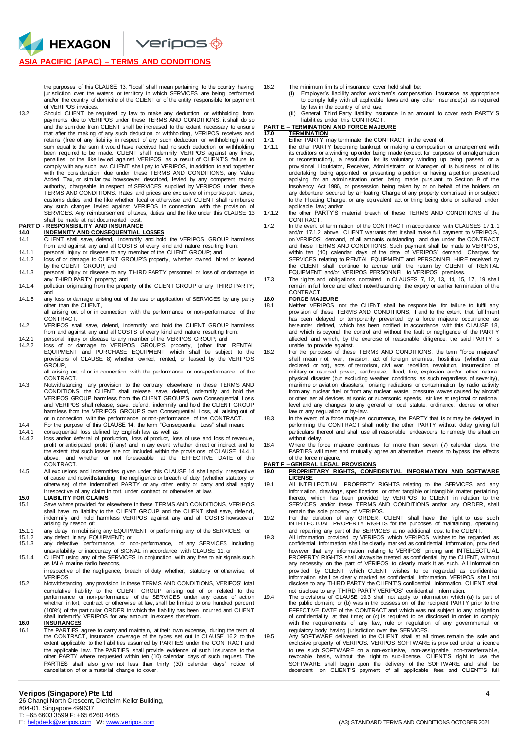### **ASIA PACIFIC (APAC) – TERMS AND CONDITIONS**

HEXAGON

the purposes of this CLAUSE 13, "local" shall mean pertaining to the country having<br>jurisdiction over the waters or territory in which SERVICES are being performed<br>and/or the country of domicile of the CLIENT or of VERIPOS invoices.

13.2 Should CLIENT be required by law to make any deduction or withholding from payments due to VERIPOS under these TERMS AND CONDITIONS, it shall do so and the sum due from CLIENT shall be increased to the extent necessary to ensur e that after the making of any such deduction or withholding, VERIPOS receives and retains (free of any liability in respect of any such deduction or withholding) a net sum equal to the sum it would have received had no such deduction or withholding been required to be made. CLIENT shall indemnify VERIPOS against any fines, penalties or the like levied against VERIPOS as a result of CLIENT'S failure to comply with any such law. CLIENT shall pay to VERIPOS, in addition to and together<br>with the consideration due under these TERMS AND CONDITIONS, any Value<br>Added Tax, or similar tax howsoever described, levied by any compete authority, chargeable in respect of SERVICES supplied by VERIPOS under these TERMS AND CONDITIONS. Rates and prices are exclusive of import/export taxes, customs duties and the like whether local or otherwise and CLIENT shall reimburse any such charges levied against VERIPOS in connection with the provision of SERVICES. Any reimbursement of taxes, duties and the like under this CLAUSE 13 shall be made at net documented cost.

### **PART D - RESPONSIBILITY AND INSURANCE 14.0 INDEMNITY AND CONSEQUENTIAL LOSSES**

- 14.1 CLIENT shall save, defend, indemnify and hold the VERIPOS GROUP harmless from and against any and all COSTS of every kind and nature resulting from:
- 14.1.1 personal injury or disease to any member of the CLIENT GROUP; and
- 14.1.2 loss of or damage to CLIENT GROUP'S property, whether owned, hired or leased by the CLIENT GROUP; and
- 14.1.3 personal injury or disease to any THIRD PARTY personnel or loss of or damage to any THIRD PARTY property; and 14.1.4 pollution originating from the property of the CLIENT GROUP or any THIRD PARTY;
- and
- 14.1.5 any loss or damage arising out of the use or application of SERVICES by any party other than the CLIENT,

all arising out of or in connection with the performance or non-performance of the CONTRACT.

- 14.2 VERIPOS shall save, defend, indemnify and hold the CLIENT GROUP harmless from and against any and all COSTS of every kind and nature resulting from:
- 14.2.1 personal injury or disease to any member of the VERIPOS GROUP; and<br>14.2.2 loss of or damage to VERIPOS GROUP'S property, (other than RENTAL<br>EQUIPMENT and PURCHASE EQUIPMENT which shall be subject to the provisions of CLAUSE 8) whether owned, rented, or leased by the VERIPOS GROUP,
- all arising out of or in connection with the performance or non-performance of the CONTRACT.
- 14.3 Notwithstanding any provision to the contrary elsewhere in these TERMS AND CONDITIONS, the CLIENT shall release, save, defend, indemnify and hold the VERIPOS GROUP harmless from the CLIENT GROUP'S own Consequential Loss and VERIPOS shall release, save, defend, indemnify and hold the CLIENT GROUP harmless from the VERIPOS GROUP'S own Consequential Loss, all arising out of
- or in connection with the performance or non-performance of the CONTRACT. 14.4 For the purpose of this CLAUSE 14, the term "Consequential Loss" shall mean:
- 14.4.1 consequential loss defined by English law; as well as 14.4.2 loss and/or deferral of production. loss of product. los
- 14.4.2 loss and/or deferral of production, loss of product, loss of use and loss of revenue, profit or anticipated profit (if any) and in any event whether direct or indirect and to the extent that such losses are not included within the provisions of CLAUSE 14.4.1 above; and whether or not foreseeable at the EFFECTIVE DATE of the CONTRACT.
- 14.5 All exclusions and indemnities given under this CLAUSE 14 shall apply irrespective of cause and notwithstanding the negligence or breach of duty (whether statutory or otherwise) of the indemnified PARTY or any other entity or party and shall appl y

- **15.0** irrespective of any claim in tort, under contract or otherwise at law.<br>**15.0 LIABILITY FOR CLAIMS**<br>15.1 Save where provided for elsewhere in these TERMS AND CONDITIONS, VERIPOS shall have no liability to the CLIENT GROUP and the CLIENT shall save, defend, indemnify and hold harmless VERIPOS against any and all COSTS howsoever arising by reason of:
- 
- 15.1.1 any delay in mobilising any EQUIPMENT or performing any of the SERVICES; or 15.1.2 any defect in any EQUIPMENT; or 15.1.3 any defective performance, or non-performance, of any SERVICES including
- unavailability or inaccuracy of SIGNAL in accordance with CLAUSE 11; or 15.1.4 CLIENT using any of the SERVICES in conjunction with any free to air signals such
- as IALA marine radio beacons, irrespective of the negligence, breach of duty whether, statutory or otherwise, of VERIPOS.
- 15.2 Notwithstanding any provision in these TERMS AND CONDITIONS, VERIPOS' total cumulative liability to the CLIENT GROUP arising out of or related to the<br>performance or non-performance of the SERVICES under any cause of action<br>whether in tort, contract or otherwise at law, shall be limited to one hund (100%) of the particular ORDER in which the liability has been incurred and CLIENT shall indemnify VERIPOS for any amount in excess therefrom. **16.0 INSURANCES**

16.1 The PARTIES agree to carry and maintain, at their own expense, during the term of the CONTRACT, insurance coverage of the types set out in CLAUSE 16.2 to the extent applicable to the liabilities assumed by PARTIES under the CONTRACT and the applicable law. The PARTIES shall provide evidence of such insurance to the other PARTY where requested within ten (10) calendar days of such request. The PARTIES shall also give not less than thirty (30) calendar days' notice of cancellation of or a material change to cover.

- 16.2 The minimum limits of insurance cover held shall be:<br>(i) Employer's liability and/or workmen's compensa
	- Employer's liability and/or workmen's compensation insurance as appropriate to comply fully with all applicable laws and any other insurance(s) as required by law in the country of end use;
	- (ii) General Third Party liability insurance in an amount to cover each PARTY' S liabilities under this CONTRACT.

# **PART E – TERMINATION AND FORCE MAJEURE**

# **17.0 TERMINATION**

- 17.1 Either PARTY may terminate the CONTRACT in the event of:<br>17.1.1 the other PARTY becoming bankrupt or making a composition the other PARTY becoming bankrupt or making a composition or arrangement with its creditors or a winding up order being made (except for purposes of amalgamation or reconstruction), a resolution for its voluntary winding up being passed or a provisional Liquidator, Receiver, Administrator or Manager of its business or of its undertaking being appointed or presenting a petition or having a petition presented applying for an administration order being made pursuant to Section 9 of the Insolvency Act 1986, or possession being taken by or on behalf of the holders on any debenture secured by a Floating Charge of any property comprised in or subject to the Floating Charge, or any equivalent act or thing being done or suffered under applicable law; and/or
- 17.1.2 the other PARTY'S material breach of these TERMS AND CONDITIONS of the **CONTRACT**
- 17.2 In the event of termination of the CONTRACT in accordance with CLAUSES 17.1.1 and/or 17.1.2 above, CLIENT warrants that it shall make full payment to VERIPOS, on VERIPOS' demand, of all amounts outstanding and due under the CONTRACT and these TERMS AND CONDITIONS. Such payment shall be made to VERIPOS, within ten (10) calendar days of the date of VERIPOS' demand. Charges for SERVICES relating to RENTAL EQUIPMENT and PERSONNEL HIRE received by the CLIENT shall continue to accrue until the return by CLIENT of RENTAL EQUIPMENT and/or VERIPOS PERSONNEL to VERIPOS' premises.
- 17.3 The rights and obligations contained in CLAUSES 7, 12, 13, 14, 15, 17, 19 shall remain in full force and effect notwithstanding the expiry or earlier termination of the CONTRACT.
- **18.0 FORCE MAJEURE**
- 18.1 Neither VERIPOS nor the CLIENT shall be responsible for failure to fulfil any provision of these TERMS AND CONDITIONS, if and to the extent that fulfilment has been delayed or temporarily prevented by a force majeure occurrence as hereunder defined, which has been notified in accordance with this CLAUSE 18, and which is beyond the control and without the fault or negligence of the PARTY affected and which, by the exercise of reasonable diligence, the said PARTY is unable to provide against.
- 18.2 For the purposes of these TERMS AND CONDITIONS, the term "force majeure" shall mean riot, war, invasion, act of foreign enemies, hostilities (whether war declared or not), acts of terrorism, civil war, rebellion, revolution, insurrection of military or usurped power, earthquake, flood, fire, explosion and/or other natural physical disaster (but excluding weather conditions as such regardless of severity), maritime or aviation disasters, ionising radiations or contamination by radio activity from any nuclear fuel or from any nuclear waste, pressure waves caused by aircraft or other aerial devices at sonic or supersonic speeds, strikes at regional or national level and any changes to any general or local statute, ordinance, decree or other law or any regulation or by-law.
- 18.3 In the event of a force majeure occurrence, the PARTY that is or may be delayed in performing the CONTRACT shall notify the other PARTY without delay giving full particulars thereof and shall use all reasonable endeavours to remedy the situati on without delay. 18.4 Where the force majeure continues for more than seven (7) calendar days, the
- PARTIES will meet and mutually agree an alternative means to bypass the effects of the force majeure.

### **PART F – GENERAL LEGAL PROVISIONS**

- **19.0 PROPRIETARY RIGHTS, CONFIDENTIAL INFORMATION AND SOFTWARE LICENSE**
- 19.1 All INTELLECTUAL PROPERTY RIGHTS relating to the SERVICES and any information, drawings, specifications or other tangible or intangible matter pertaining<br>thereto, which has been provided by VERIPOS to CLIENT in relation to the<br>SERVICES and/or these TERMS AND CONDITIONS and/or any ORDER, remain the sole property of VERIPOS. 19.2 For the duration of any ORDER, CLIENT shall have the right to use such
- INTELLECTUAL PROPERTY RIGHTS for the purposes of maintaining, operating
- and repairing any part of the SERVICES at no additional cost to the CLIENT. 19.3 All information provided by VERIPOS which VERIPOS wishes to be regarded as confidential information shall be clearly marked as confidential information, provided however that any information relating to VERIPOS' pricing and INTELLECTU AL PROPERTY RIGHTS shall always be treated as confidential by the CLIENT, without any necessity on the part of VERIPOS to clearly mark it as such. All information provided by CLIENT which CLIENT wishes to be regarded as confidential<br>information shall be clearly marked as confidential information. VERIPOS shall not disclose to any THIRD PARTY the CLIENT'S confidential information. CLIENT shall
- not disclose to any THIRD PARTY VERIPOS' confidential information.<br>19.4 The provisions of CLAUSE 19.3 shall not apply to information which (a) is part of<br>the public domain; or (b) was in the possession of the recipient PAR EFFECTIVE DATE of the CONTRACT and which was not subject to any obligation of confidentiality at that time; or (c) is required to be disclosed in order to comply with the requirements of any law, rule or regulation of any governmental or regulatory body having jurisdiction over the SERVICES.
- 19.5 Any SOFTWARE delivered to the CLIENT shall at all times remain the sole and exclusive property of VERIPOS. VERIPOS SOFTWARE is provided under a licence to use such SOFTWARE on a non-exclusive, non-assignable, non-transferrable, revocable basis, without the right to sub-license. CLIENT'S right to use the SOFTWARE shall begin upon the delivery of the SOFTWARE and shall be dependent on CLIENT'S payment of all applicable fees and CLIENT'S full

### **Veripos (Singapore) Pte Ltd** 4

26 Changi North Crescent, Diethelm Keller Building, #04-01, Singapore 499637 T: +65 6603 3599 F: +65 6260 4465<br>E: helpdesk@veripos.com W: www.veripos.com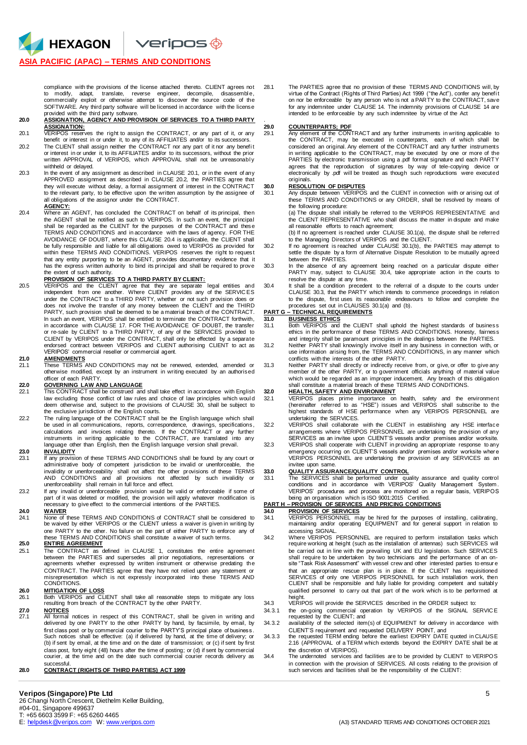### **ASIA PACIFIC (APAC) – TERMS AND CONDITIONS**

**HEXAGON** 

compliance with the provisions of the license attached thereto. CLIENT agrees not to modify, adapt, translate, reverse engineer, decompile, disassemble,<br>commercially exploit or otherwise attempt to discover the source code of the SOFTWARE. Any third party software will be licensed in accordance with the license provided with the third party software.

### **20.0 ASSIGNATION, AGENCY AND PROVISION OF SERVICES TO A THIRD PARTY ASSIGNATION:**

20.1 VERIPOS reserves the right to assign the CONTRACT, or any part of it, or any benefit or interest in or under it, to any of its AFFILIATES and/or to its successors.

- 20.2 The CLIENT shall assign neither the CONTRACT nor any part of it nor any benefit or interest in or under it, to its AFFILIATES and/or to its successors, without the prior<br>written APPROVAL of VERIPOS, which APPROVAL shall not be unreasona.bly withheld or delayed.
- 20.3 In the event of any assignment as described in CLAUSE 20.1, or in the event of any APPROVED assignment as described in CLAUSE 20.2, the PARTIES agree that they will execute without delay, a formal assignment of interest in the CONTRACT to the relevant party, to be effective upon the written assumption by the assignee of all obligations of the assignor under the CONTRACT. **AGENCY:**

20.4 Where an AGENT, has concluded the CONTRACT on behalf of its principal, then the AGENT shall be notified as such to VERIPOS. In such an event, the principal shall be regarded as the CLIENT for the purposes of the CONTRACT and these TERMS AND CONDITIONS and in accordance with the laws of agency. FOR THE AVOIDANCE OF DOUBT, where this CLAUSE 20.4 is applicable, the CLIENT shall be fully responsible and liable for all obligations owed to VERIPOS as provided for within these TERMS AND CONDITIONS. VERIPOS reserves the right to request that any entity purporting to be an AGENT, provides documentary evidence that it has the express written authority to bind its principal and shall be required to prove the extent of such authority.

**PROVISION OF SERVICES TO A THIRD PARTY BY CLIENT:**<br>20.5 VERIPOS and the CLIENT agree that they are separate legal entities and<br>independent from one another. Where CLIENT provides any of the SERVICES under the CONTRACT to a THIRD PARTY, whether or not such provision does or does not involve the transfer of any money between the CLIENT and the THIRD PARTY, such provision shall be deemed to be a material breach of the CONTRACT. In such an event, VERIPOS shall be entitled to terminate the CONTRACT forthwith, in accordance with CLAUSE 17. FOR THE AVOIDANCE OF DOUBT, the transfer or re-sale by CLIENT to a THIRD PARTY, of any of the SERVICES provided to CLIENT by VERIPOS under the CONTRACT, shall only be effected by a separate endorsed contract between VERIPOS and CLIENT authorising CLIENT to act as VERIPOS' commercial reseller or commercial agent.

**21.0 AMENDMENTS** 21.1 These TERMS AND CONDITIONS may not be renewed, extended, amended or otherwise modified, except by an instrument in writing executed by an authorised officer of each PARTY.

# **22.0 GOVERNING LAW AND LANGUAGE**<br>22.1 This CONTRACT shall be construed and

- This CONTRACT shall be construed and shall take effect in accordance with English law excluding those conflict of law rules and choice of law principles which woul d deem otherwise and, subject to the provisions of CLAUSE 30, shall be subject to the exclusive jurisdiction of the English courts.
- 22.2 The ruling language of the CONTRACT shall be the English language which shall be used in all communications, reports, correspondence, drawings, specifications, calculations and invoices relating thereto. If the CONTRACT or any further<br>instruments in writing applicable to the CONTRACT, are translated into any<br>language other than English, then the English language version shall pre

## 23.0 **INVALIDITY**<br>23.1 **If any provision**

- If any provision of these TERMS AND CONDITIONS shall be found by any court or administrative body of competent jurisdiction to be invalid or unenforceable, the invalidity or unenforceability shall not affect the other provisions of these TERMS<br>AND CONDITIONS and all provisions not affected by such invalidity or<br>unenforceability shall remain in full force and effect.
- 23.2 If any invalid or unenforceable provision would be valid or enforceable if some of part of it was deleted or modified, the provision will apply whatever modification is necessary to give effect to the commercial intentions of the PARTIES.

# **24.0 WAIVER**<br>24.1 **None of 1**

**None of these TERMS AND CONDITIONS of CONTRACT shall be considered to** be waived by either VERIPOS or the CLIENT unless a waiver is given in writing by one PARTY to the other. No failure on the part of either PARTY to enforce any of these TERMS AND CONDITIONS shall constitute a waiver of such terms.

# **25.0 ENTIRE AGREEMENT**<br>25.1 The CONTRACT as d

The CONTRACT as defined in CLAUSE 1, constitutes the entire agreement between the PARTIES and supersedes all prior negotiations, representations or agreements whether expressed by written instrument or otherwise predating the CONTRACT. The PARTIES agree that they have not relied upon any statement or misrepresentation which is not expressly incorporated into these TERMS AND CONDITIONS.

### **26.0 MITIGATION OF LOSS**

- 26.1 Both VERIPOS and CLIENT shall take all reasonable steps to mitigate any loss resulting from breach of the CONTRACT by the other PARTY. **27.0 NOTICES**
- 27.1 All formal notices in respect of this CONTRACT, shall be given in writing and delivered by one PARTY to the other PARTY by hand, by facsimile, by email, by first class post or by commercial courier to the PARTY'S principal place of business. Such notices shall be effective: (a) if delivered by hand, at the time of delivery; or (b) if sent by email, at the time and on the date of transmission; or (c) if sent by first class post, forty eight (48) hours after the time of posting; or (d) if sent by commercial courier, at the time and on the date such commercial courier records delivery as successful.

### **28.0 CONTRACT (RIGHTS OF THIRD PARTIES) ACT 1999**

28.1 The PARTIES agree that no provision of these TERMS AND CONDITIONS will, by virtue of the Contract (Rights of Third Parties) Act 1999 ("the Act"), confer any benefi t on nor be enforceable by any person who is not a PARTY to the CONTRACT, save for any indemnitee under CLAUSE 14. The indemnity provisions of CLAUSE 14 are intended to be enforceable by any such indemnitee by virtue of the Act

# 29.0 **COUNTERPARTS; PDF**<br>29.1 Any element of the CON

.

Any element of the CONTRACT and any further instruments in writing applicable to the CONTRACT, may be executed in counterparts, each of which shall be considered an original. Any element of the CONTRACT and any further instruments in writing applicable to the CONTRACT, may be executed by one or more of the PARTIES by electronic transmission using a .pdf format signature and each PARTY agrees that the reproduction of signatures by way of tele-copying device or electronically by .pdf will be treated as though such reproductions were executed originals.

**30.0 RESOLUTION OF DISPUTES** 30.1 Any dispute between VERIPOS and the CLIENT in connection with or arising out of these TERMS AND CONDITIONS or any ORDER, shall be resolved by means of the following procedure:

(a) The dispute shall initially be referred to the VERIPOS REPRESENTATIVE and the CLIENT REPRESENTATIVE who shall discuss the matter in dispute and make all reasonable efforts to reach agreement;

(b) If no agreement is reached under CLAUSE 30.1(a), the dispute shall be referred to the Managing Directors of VERIPOS and the CLIENT.

- 30.2 If no agreement is reached under CLAUSE 30.1(b), the PARTIES may attempt to settle the dispute by a form of Alternative Dispute Resolution to be mutually agreed between the PARTIES.
- 30.3 In the absence of any agreement being reached on a particular dispute either PARTY may, subject to CLAUSE 30.4, take appropriate action in the courts to
- resolve the dispute at any time.<br>30.4 It shall be a condition precedent to the referral of a dispute to the courts under<br>CLAUSE 30.3, that the PARTY which intends to commence proceedings in relation to the dispute, first uses its reasonable endeavours to follow and complete the procedures set out in CLAUSES 30.1(a) and (b).

## **PART G – TECHNICAL REQUIREMENTS**

- **31.0 BUSINESS ETHICS** 31.1 Both VERIPOS and the CLIENT shall uphold the highest standards of business ethics in the performance of these TERMS AND CONDITIONS. Honesty, fairness
- and integrity shall be paramount principles in the dealings between the PARTIES. 31.2 Neither PARTY shall knowingly involve itself in any business in connection with, or use information arising from, the TERMS AND CONDITIONS, in any manner which conflicts with the interests of the other PARTY.
- 31.3 Neither PARTY shall directly or indirectly receive from, or give, or offer to give any member of the other PARTY, or to government officials anything of material value which would be regarded as an improper inducement. Any breach of this obligation shall constitute a material breach of these TERMS AND CONDITIONS.

### **32.0 HEALTH, SAFETY AND ENVIRONMENT**

- 32.1 VERIPOS places prime importance on health, safety and the environment (hereinafter referred to as "HSE") issues and VERIPOS shall subscribe to the highest standards of HSE performance when any VERIPOS PERSONNEL are
- undertaking the SERVICES. 32.2 VERIPOS shall collaborate with the CLIENT in establishing any HSE interface arrangements where VERIPOS PERSONNEL are undertaking the provision of any
- SERVICES as an invitee upon CLIENT'S vessels and/or premises and/or worksite. 32.3 VERIPOS shall cooperate with CLIENT in providing an appropriate response to any emergency occurring on CLIENT'S vessels and/or premises and/or worksite wher e VERIPOS PERSONNEL are undertaking the provision of any SERVICES as an invitee upon same.

## **33.0 QUALITY ASSURANCE/QUALITY CONTROL**

33.1 The SERVICES shall be performed under quality assurance and quality control conditions and in accordance with VERIPOS' Quality Management System . VERIPOS' procedures and process are monitored on a regular basis, VERIPOS being an organisation which is ISO 9001:2015 Certified. **PART H – PROVISION OF SERVICES AND PRICING CONDITIONS**

- **34.0 PROVISION OF SERVICES** 34.1 VERIPOS PERSONNEL may be hired for the purposes of installing, calibrating, maintaining and/or operating EQUIPMENT and for general support in relation to
- accessing SIGNAL. 34.2 Where VERIPOS PERSONNEL are required to perform installation tasks which require working at height (such as the installation of antennas) such SERVICES will be carried out in line with the prevailing UK and EU legislation. Such SERVICES shall require to be undertaken by two technicians and the performance of an onsite "Task Risk Assessment" with vessel crew and other interested parties to ensur e that an appropriate rescue plan is in place. If the CLIENT has requisitioned SERVICES of only one VERIPOS PERSONNEL for such installation work, then CLIENT shall be responsible and fully liable for providing competent and suitabl y qualified personnel to carry out that part of the work which is to be performed at height.
- 34.3 VERIPOS will provide the SERVICES described in the ORDER subject to:<br>34.3.1 the on-going commercial operation by VERIPOS of the SIGNAL S the on-going commercial operation by VERIPOS of the SIGNAL SERVICE
- requested by the CLIENT; and 34.3.2 availability of the selected item(s) of EQUIPMENT for delivery in accordance with CLIENT'S requirement and requested DELIVERY POINT, and
- 34.3.3 the requested TERM ending before the earliest EXPIRY DATE quoted in CLAUSE 2.16 (APPROVAL of a TERM which extends beyond the EXPIRY DATE shall be at the discretion of VERIPOS).
- 34.4 The undernoted services and facilities are to be provided by CLIENT to VERIPOS in connection with the provision of SERVICES. All costs relating to the provision of such services and facilities shall be the responsibility of the CLIENT: